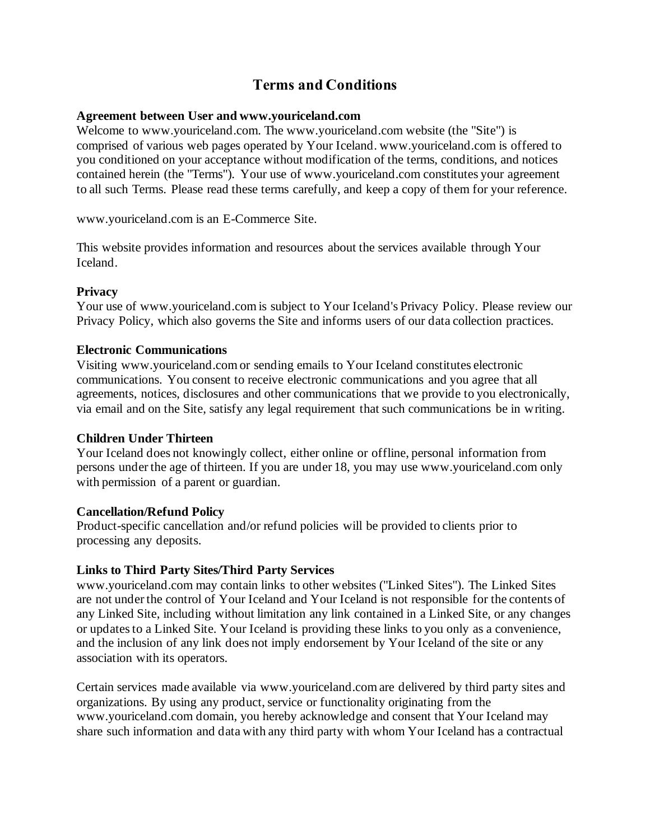# **Terms and Conditions**

#### **Agreement between User and www.youriceland.com**

Welcome to www.youriceland.com. The www.youriceland.com website (the "Site") is comprised of various web pages operated by Your Iceland. www.youriceland.com is offered to you conditioned on your acceptance without modification of the terms, conditions, and notices contained herein (the "Terms"). Your use of www.youriceland.com constitutes your agreement to all such Terms. Please read these terms carefully, and keep a copy of them for your reference.

www.youriceland.com is an E-Commerce Site.

This website provides information and resources about the services available through Your Iceland.

## **Privacy**

Your use of www.youriceland.com is subject to Your Iceland's Privacy Policy. Please review our Privacy Policy, which also governs the Site and informs users of our data collection practices.

## **Electronic Communications**

Visiting www.youriceland.com or sending emails to Your Iceland constitutes electronic communications. You consent to receive electronic communications and you agree that all agreements, notices, disclosures and other communications that we provide to you electronically, via email and on the Site, satisfy any legal requirement that such communications be in writing.

#### **Children Under Thirteen**

Your Iceland does not knowingly collect, either online or offline, personal information from persons under the age of thirteen. If you are under 18, you may use www.youriceland.com only with permission of a parent or guardian.

#### **Cancellation/Refund Policy**

Product-specific cancellation and/or refund policies will be provided to clients prior to processing any deposits.

# **Links to Third Party Sites/Third Party Services**

www.youriceland.com may contain links to other websites ("Linked Sites"). The Linked Sites are not under the control of Your Iceland and Your Iceland is not responsible for the contents of any Linked Site, including without limitation any link contained in a Linked Site, or any changes or updates to a Linked Site. Your Iceland is providing these links to you only as a convenience, and the inclusion of any link does not imply endorsement by Your Iceland of the site or any association with its operators.

Certain services made available via www.youriceland.com are delivered by third party sites and organizations. By using any product, service or functionality originating from the www.youriceland.com domain, you hereby acknowledge and consent that Your Iceland may share such information and data with any third party with whom Your Iceland has a contractual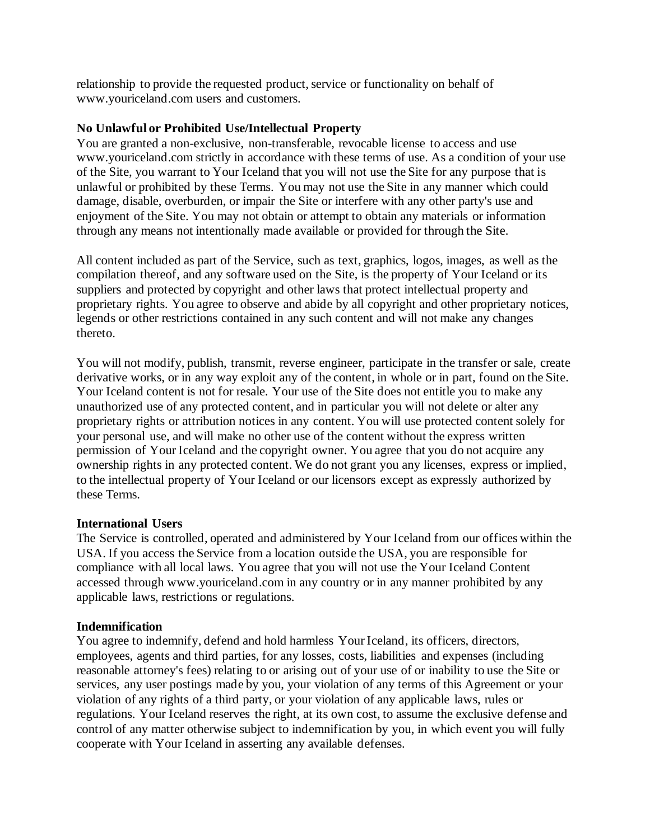relationship to provide the requested product, service or functionality on behalf of www.youriceland.com users and customers.

## **No Unlawful or Prohibited Use/Intellectual Property**

You are granted a non-exclusive, non-transferable, revocable license to access and use www.youriceland.com strictly in accordance with these terms of use. As a condition of your use of the Site, you warrant to Your Iceland that you will not use the Site for any purpose that is unlawful or prohibited by these Terms. You may not use the Site in any manner which could damage, disable, overburden, or impair the Site or interfere with any other party's use and enjoyment of the Site. You may not obtain or attempt to obtain any materials or information through any means not intentionally made available or provided for through the Site.

All content included as part of the Service, such as text, graphics, logos, images, as well as the compilation thereof, and any software used on the Site, is the property of Your Iceland or its suppliers and protected by copyright and other laws that protect intellectual property and proprietary rights. You agree to observe and abide by all copyright and other proprietary notices, legends or other restrictions contained in any such content and will not make any changes thereto.

You will not modify, publish, transmit, reverse engineer, participate in the transfer or sale, create derivative works, or in any way exploit any of the content, in whole or in part, found on the Site. Your Iceland content is not for resale. Your use of the Site does not entitle you to make any unauthorized use of any protected content, and in particular you will not delete or alter any proprietary rights or attribution notices in any content. You will use protected content solely for your personal use, and will make no other use of the content without the express written permission of Your Iceland and the copyright owner. You agree that you do not acquire any ownership rights in any protected content. We do not grant you any licenses, express or implied, to the intellectual property of Your Iceland or our licensors except as expressly authorized by these Terms.

#### **International Users**

The Service is controlled, operated and administered by Your Iceland from our offices within the USA. If you access the Service from a location outside the USA, you are responsible for compliance with all local laws. You agree that you will not use the Your Iceland Content accessed through www.youriceland.com in any country or in any manner prohibited by any applicable laws, restrictions or regulations.

#### **Indemnification**

You agree to indemnify, defend and hold harmless Your Iceland, its officers, directors, employees, agents and third parties, for any losses, costs, liabilities and expenses (including reasonable attorney's fees) relating to or arising out of your use of or inability to use the Site or services, any user postings made by you, your violation of any terms of this Agreement or your violation of any rights of a third party, or your violation of any applicable laws, rules or regulations. Your Iceland reserves the right, at its own cost, to assume the exclusive defense and control of any matter otherwise subject to indemnification by you, in which event you will fully cooperate with Your Iceland in asserting any available defenses.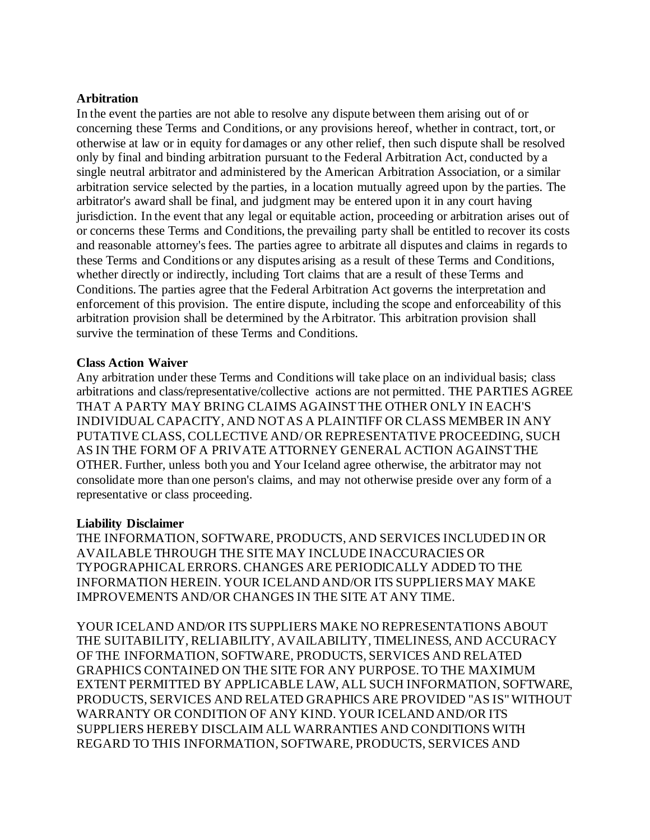#### **Arbitration**

In the event the parties are not able to resolve any dispute between them arising out of or concerning these Terms and Conditions, or any provisions hereof, whether in contract, tort, or otherwise at law or in equity for damages or any other relief, then such dispute shall be resolved only by final and binding arbitration pursuant to the Federal Arbitration Act, conducted by a single neutral arbitrator and administered by the American Arbitration Association, or a similar arbitration service selected by the parties, in a location mutually agreed upon by the parties. The arbitrator's award shall be final, and judgment may be entered upon it in any court having jurisdiction. In the event that any legal or equitable action, proceeding or arbitration arises out of or concerns these Terms and Conditions, the prevailing party shall be entitled to recover its costs and reasonable attorney's fees. The parties agree to arbitrate all disputes and claims in regards to these Terms and Conditions or any disputes arising as a result of these Terms and Conditions, whether directly or indirectly, including Tort claims that are a result of these Terms and Conditions. The parties agree that the Federal Arbitration Act governs the interpretation and enforcement of this provision. The entire dispute, including the scope and enforceability of this arbitration provision shall be determined by the Arbitrator. This arbitration provision shall survive the termination of these Terms and Conditions.

#### **Class Action Waiver**

Any arbitration under these Terms and Conditions will take place on an individual basis; class arbitrations and class/representative/collective actions are not permitted. THE PARTIES AGREE THAT A PARTY MAY BRING CLAIMS AGAINST THE OTHER ONLY IN EACH'S INDIVIDUAL CAPACITY, AND NOT AS A PLAINTIFF OR CLASS MEMBER IN ANY PUTATIVE CLASS, COLLECTIVE AND/ OR REPRESENTATIVE PROCEEDING, SUCH AS IN THE FORM OF A PRIVATE ATTORNEY GENERAL ACTION AGAINST THE OTHER. Further, unless both you and Your Iceland agree otherwise, the arbitrator may not consolidate more than one person's claims, and may not otherwise preside over any form of a representative or class proceeding.

#### **Liability Disclaimer**

THE INFORMATION, SOFTWARE, PRODUCTS, AND SERVICES INCLUDED IN OR AVAILABLE THROUGH THE SITE MAY INCLUDE INACCURACIES OR TYPOGRAPHICAL ERRORS. CHANGES ARE PERIODICALLY ADDED TO THE INFORMATION HEREIN. YOUR ICELAND AND/OR ITS SUPPLIERS MAY MAKE IMPROVEMENTS AND/OR CHANGES IN THE SITE AT ANY TIME.

YOUR ICELAND AND/OR ITS SUPPLIERS MAKE NO REPRESENTATIONS ABOUT THE SUITABILITY, RELIABILITY, AVAILABILITY, TIMELINESS, AND ACCURACY OF THE INFORMATION, SOFTWARE, PRODUCTS, SERVICES AND RELATED GRAPHICS CONTAINED ON THE SITE FOR ANY PURPOSE. TO THE MAXIMUM EXTENT PERMITTED BY APPLICABLE LAW, ALL SUCH INFORMATION, SOFTWARE, PRODUCTS, SERVICES AND RELATED GRAPHICS ARE PROVIDED "AS IS" WITHOUT WARRANTY OR CONDITION OF ANY KIND. YOUR ICELAND AND/OR ITS SUPPLIERS HEREBY DISCLAIM ALL WARRANTIES AND CONDITIONS WITH REGARD TO THIS INFORMATION, SOFTWARE, PRODUCTS, SERVICES AND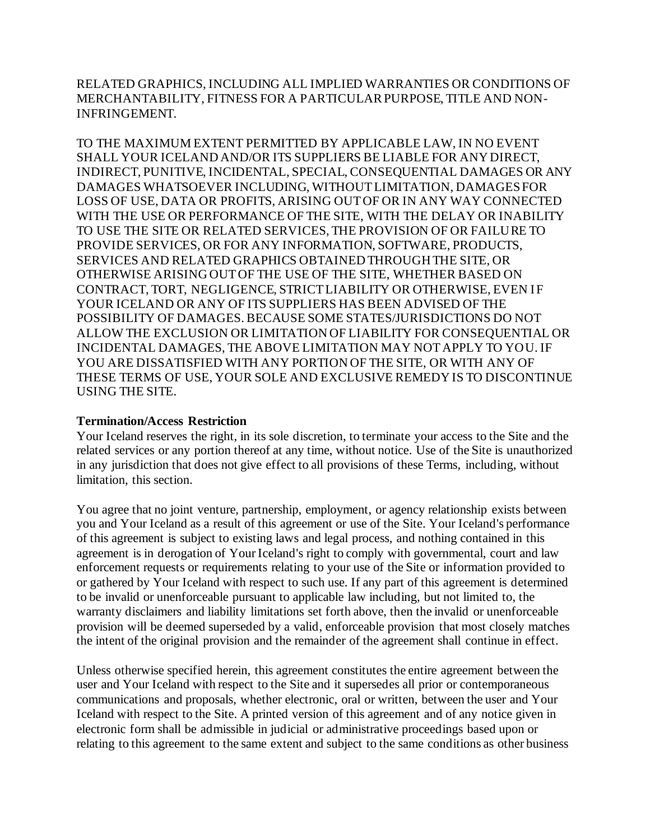RELATED GRAPHICS, INCLUDING ALL IMPLIED WARRANTIES OR CONDITIONS OF MERCHANTABILITY, FITNESS FOR A PARTICULAR PURPOSE, TITLE AND NON-INFRINGEMENT.

TO THE MAXIMUM EXTENT PERMITTED BY APPLICABLE LAW, IN NO EVENT SHALL YOUR ICELAND AND/OR ITS SUPPLIERS BE LIABLE FOR ANY DIRECT, INDIRECT, PUNITIVE, INCIDENTAL, SPECIAL, CONSEQUENTIAL DAMAGES OR ANY DAMAGES WHATSOEVER INCLUDING, WITHOUT LIMITATION, DAMAGES FOR LOSS OF USE, DATA OR PROFITS, ARISING OUT OF OR IN ANY WAY CONNECTED WITH THE USE OR PERFORMANCE OF THE SITE, WITH THE DELAY OR INABILITY TO USE THE SITE OR RELATED SERVICES, THE PROVISION OF OR FAILURE TO PROVIDE SERVICES, OR FOR ANY INFORMATION, SOFTWARE, PRODUCTS, SERVICES AND RELATED GRAPHICS OBTAINED THROUGH THE SITE, OR OTHERWISE ARISING OUT OF THE USE OF THE SITE, WHETHER BASED ON CONTRACT, TORT, NEGLIGENCE, STRICT LIABILITY OR OTHERWISE, EVEN IF YOUR ICELAND OR ANY OF ITS SUPPLIERS HAS BEEN ADVISED OF THE POSSIBILITY OF DAMAGES. BECAUSE SOME STATES/JURISDICTIONS DO NOT ALLOW THE EXCLUSION OR LIMITATION OF LIABILITY FOR CONSEQUENTIAL OR INCIDENTAL DAMAGES, THE ABOVE LIMITATION MAY NOT APPLY TO YOU. IF YOU ARE DISSATISFIED WITH ANY PORTION OF THE SITE, OR WITH ANY OF THESE TERMS OF USE, YOUR SOLE AND EXCLUSIVE REMEDY IS TO DISCONTINUE USING THE SITE.

#### **Termination/Access Restriction**

Your Iceland reserves the right, in its sole discretion, to terminate your access to the Site and the related services or any portion thereof at any time, without notice. Use of the Site is unauthorized in any jurisdiction that does not give effect to all provisions of these Terms, including, without limitation, this section.

You agree that no joint venture, partnership, employment, or agency relationship exists between you and Your Iceland as a result of this agreement or use of the Site. Your Iceland's performance of this agreement is subject to existing laws and legal process, and nothing contained in this agreement is in derogation of Your Iceland's right to comply with governmental, court and law enforcement requests or requirements relating to your use of the Site or information provided to or gathered by Your Iceland with respect to such use. If any part of this agreement is determined to be invalid or unenforceable pursuant to applicable law including, but not limited to, the warranty disclaimers and liability limitations set forth above, then the invalid or unenforceable provision will be deemed superseded by a valid, enforceable provision that most closely matches the intent of the original provision and the remainder of the agreement shall continue in effect.

Unless otherwise specified herein, this agreement constitutes the entire agreement between the user and Your Iceland with respect to the Site and it supersedes all prior or contemporaneous communications and proposals, whether electronic, oral or written, between the user and Your Iceland with respect to the Site. A printed version of this agreement and of any notice given in electronic form shall be admissible in judicial or administrative proceedings based upon or relating to this agreement to the same extent and subject to the same conditions as other business